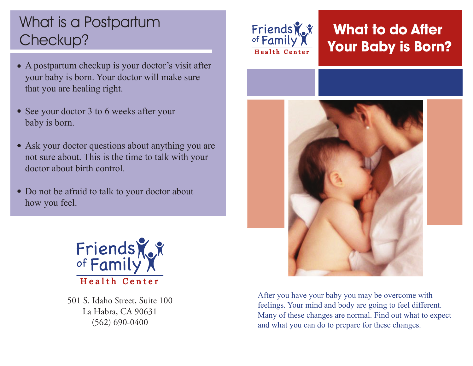# What is a Postpartum Checkup?

- A postpartum checkup is your doctor's visit after your baby is born. Your doctor will make sure that you are healing right.
- See your doctor 3 to 6 weeks after your baby is born.
- Ask your doctor questions about anything you are not sure about. This is the time to talk with your doctor about birth control.
- Do not be afraid to talk to your doctor about how you feel.



501 S. Idaho Street, Suite 100 La Habra, CA 90631 (562) 690-0400



## **What to do After Your Baby is Born?**



After you have your baby you may be overcome with feelings. Your mind and body are going to feel different. Many of these changes are normal. Find out what to expect and what you can do to prepare for these changes.